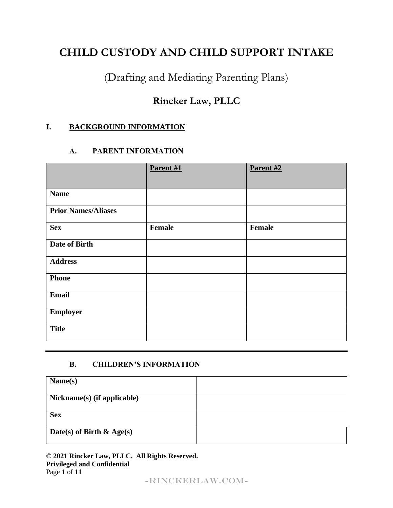# **CHILD CUSTODY AND CHILD SUPPORT INTAKE**

(Drafting and Mediating Parenting Plans)

# **Rincker Law, PLLC**

# **I. BACKGROUND INFORMATION**

# **A. PARENT INFORMATION**

|                            | Parent #1 | Parent #2 |
|----------------------------|-----------|-----------|
| <b>Name</b>                |           |           |
| <b>Prior Names/Aliases</b> |           |           |
| <b>Sex</b>                 | Female    | Female    |
| <b>Date of Birth</b>       |           |           |
| <b>Address</b>             |           |           |
| <b>Phone</b>               |           |           |
| <b>Email</b>               |           |           |
| <b>Employer</b>            |           |           |
| <b>Title</b>               |           |           |

# **B. CHILDREN'S INFORMATION**

| Name(s)                      |  |
|------------------------------|--|
| Nickname(s) (if applicable)  |  |
| <b>Sex</b>                   |  |
| Date(s) of Birth $\&$ Age(s) |  |

**© 2021 Rincker Law, PLLC. All Rights Reserved. Privileged and Confidential** Page **1** of **11**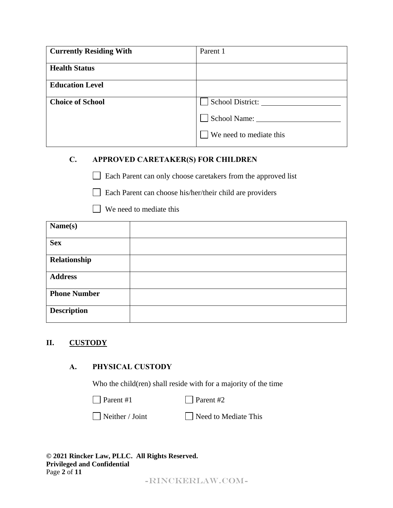| <b>Currently Residing With</b> | Parent 1                |
|--------------------------------|-------------------------|
| <b>Health Status</b>           |                         |
| <b>Education Level</b>         |                         |
| <b>Choice of School</b>        | School District:        |
|                                | School Name:            |
|                                | We need to mediate this |

# **C. APPROVED CARETAKER(S) FOR CHILDREN**

 Each Parent can only choose caretakers from the approved list  $\mathbf{L}$ 

Each Parent can choose his/her/their child are providers

We need to mediate this

| Name(s)             |  |
|---------------------|--|
| <b>Sex</b>          |  |
| Relationship        |  |
| <b>Address</b>      |  |
| <b>Phone Number</b> |  |
| <b>Description</b>  |  |

# **II. CUSTODY**

# **A. PHYSICAL CUSTODY**

Who the child(ren) shall reside with for a majority of the time

 $\Box$  Parent #1 Parent #2

 $\Box$  Neither / Joint  $\Box$  Need to Mediate This

| © 2021 Rincker Law, PLLC. All Rights Reserved. |  |
|------------------------------------------------|--|
| <b>Privileged and Confidential</b>             |  |
| Page 2 of $11$                                 |  |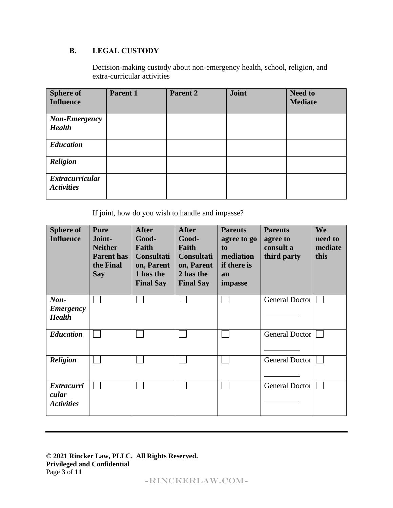# **B. LEGAL CUSTODY**

Decision-making custody about non-emergency health, school, religion, and extra-curricular activities

| <b>Sphere of</b><br><b>Influence</b>        | Parent 1 | Parent 2 | Joint | <b>Need to</b><br><b>Mediate</b> |
|---------------------------------------------|----------|----------|-------|----------------------------------|
| <b>Non-Emergency</b><br><b>Health</b>       |          |          |       |                                  |
| <b>Education</b>                            |          |          |       |                                  |
| Religion                                    |          |          |       |                                  |
| <b>Extracurricular</b><br><b>Activities</b> |          |          |       |                                  |

If joint, how do you wish to handle and impasse?

| <b>Sphere of</b><br><b>Influence</b>                | <b>Pure</b><br>Joint-<br><b>Neither</b><br><b>Parent has</b><br>the Final<br><b>Say</b> | <b>After</b><br>Good-<br>Faith<br><b>Consultati</b><br>on, Parent<br>1 has the<br><b>Final Say</b> | <b>After</b><br>Good-<br>Faith<br><b>Consultati</b><br>on, Parent<br>2 has the<br><b>Final Say</b> | <b>Parents</b><br>agree to go<br>to<br>mediation<br>if there is<br>an<br>impasse | <b>Parents</b><br>agree to<br>consult a<br>third party | We<br>need to<br>mediate<br>this |
|-----------------------------------------------------|-----------------------------------------------------------------------------------------|----------------------------------------------------------------------------------------------------|----------------------------------------------------------------------------------------------------|----------------------------------------------------------------------------------|--------------------------------------------------------|----------------------------------|
| $\mathbf{Non}$<br><b>Emergency</b><br><b>Health</b> |                                                                                         |                                                                                                    |                                                                                                    |                                                                                  | <b>General Doctor</b>                                  |                                  |
| <b>Education</b>                                    |                                                                                         |                                                                                                    |                                                                                                    |                                                                                  | <b>General Doctor</b>                                  |                                  |
| <b>Religion</b>                                     |                                                                                         |                                                                                                    |                                                                                                    |                                                                                  | <b>General Doctor</b>                                  |                                  |
| <b>Extracurri</b><br>cular<br><b>Activities</b>     |                                                                                         |                                                                                                    |                                                                                                    |                                                                                  | <b>General Doctor</b>                                  |                                  |

#### **© 2021 Rincker Law, PLLC. All Rights Reserved. Privileged and Confidential** Page **3** of **11**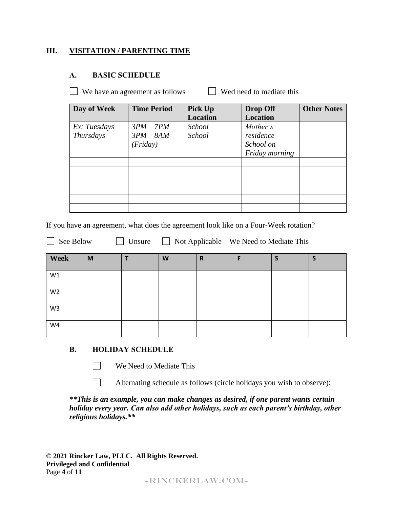# **III. VISITATION / PARENTING TIME**

### **A. BASIC SCHEDULE**

 $\Box$  We have an agreement as follows  $\Box$  Wed need to mediate this

| Day of Week  | <b>Time Period</b> | Pick Up         | <b>Drop Off</b> | <b>Other Notes</b> |
|--------------|--------------------|-----------------|-----------------|--------------------|
|              |                    | <b>Location</b> | <b>Location</b> |                    |
| Ex: Tuesdays | $3PM - 7PM$        | <b>School</b>   | Mother's        |                    |
| Thursdays    | $3PM - 8AM$        | School          | residence       |                    |
|              | (Friday)           |                 | School on       |                    |
|              |                    |                 | Friday morning  |                    |
|              |                    |                 |                 |                    |
|              |                    |                 |                 |                    |
|              |                    |                 |                 |                    |
|              |                    |                 |                 |                    |
|              |                    |                 |                 |                    |
|              |                    |                 |                 |                    |

If you have an agreement, what does the agreement look like on a Four-Week rotation?

 $\Box$  See Below  $\Box$  Unsure  $\Box$  Not Applicable – We Need to Mediate This

| Week           | M | W | $\mathbf R$ | F | ÷ | S |
|----------------|---|---|-------------|---|---|---|
| W1             |   |   |             |   |   |   |
| W <sub>2</sub> |   |   |             |   |   |   |
| W <sub>3</sub> |   |   |             |   |   |   |
| W4             |   |   |             |   |   |   |

### **B. HOLIDAY SCHEDULE**

 $\Box$ 

 $\mathbf{L}$ 

We Need to Mediate This

Alternating schedule as follows (circle holidays you wish to observe):

*\*\*This is an example, you can make changes as desired, if one parent wants certain holiday every year. Can also add other holidays, such as each parent's birthday, other religious holidays.\*\**

**© 2021 Rincker Law, PLLC. All Rights Reserved. Privileged and Confidential** Page **4** of **11**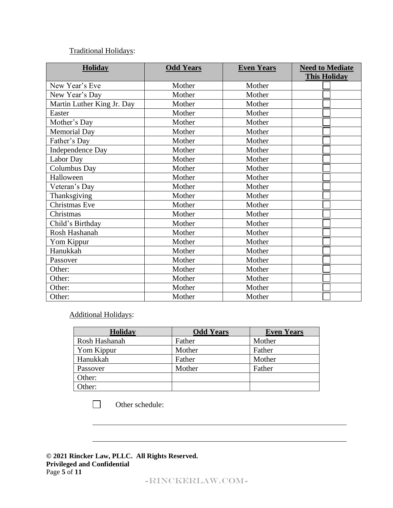# Traditional Holidays:

| <b>Holiday</b>             | <b>Odd Years</b> | <b>Even Years</b> | <b>Need to Mediate</b> |
|----------------------------|------------------|-------------------|------------------------|
|                            |                  |                   | <b>This Holiday</b>    |
| New Year's Eve             | Mother           | Mother            |                        |
| New Year's Day             | Mother           | Mother            |                        |
| Martin Luther King Jr. Day | Mother           | Mother            |                        |
| Easter                     | Mother           | Mother            |                        |
| Mother's Day               | Mother           | Mother            |                        |
| <b>Memorial Day</b>        | Mother           | Mother            |                        |
| Father's Day               | Mother           | Mother            |                        |
| <b>Independence Day</b>    | Mother           | Mother            |                        |
| Labor Day                  | Mother           | Mother            |                        |
| Columbus Day               | Mother           | Mother            |                        |
| Halloween                  | Mother           | Mother            |                        |
| Veteran's Day              | Mother           | Mother            |                        |
| Thanksgiving               | Mother           | Mother            |                        |
| Christmas Eve              | Mother           | Mother            |                        |
| Christmas                  | Mother           | Mother            |                        |
| Child's Birthday           | Mother           | Mother            |                        |
| Rosh Hashanah              | Mother           | Mother            |                        |
| Yom Kippur                 | Mother           | Mother            |                        |
| Hanukkah                   | Mother           | Mother            |                        |
| Passover                   | Mother           | Mother            |                        |
| Other:                     | Mother           | Mother            |                        |
| Other:                     | Mother           | Mother            |                        |
| Other:                     | Mother           | Mother            |                        |
| Other:                     | Mother           | Mother            |                        |

# Additional Holidays:

| <b>Holiday</b> | <b>Odd Years</b> | <b>Even Years</b> |
|----------------|------------------|-------------------|
| Rosh Hashanah  | Father           | Mother            |
| Yom Kippur     | Mother           | Father            |
| Hanukkah       | Father           | Mother            |
| Passover       | Mother           | Father            |
| Other:         |                  |                   |
| Other:         |                  |                   |

 $\Box$ Other schedule:

**© 2021 Rincker Law, PLLC. All Rights Reserved. Privileged and Confidential** Page **5** of **11**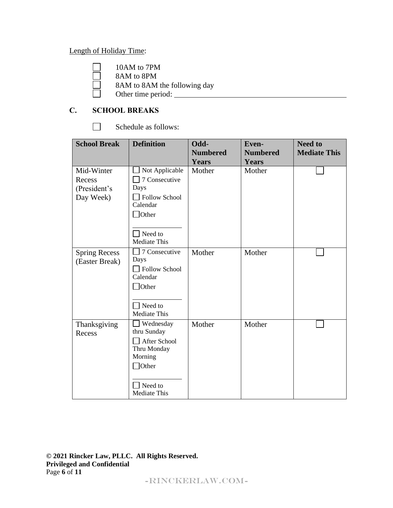# Length of Holiday Time:

$$
10AM to 7PM
$$

8AM to 8PM

8AM to 8AM the following day

Other time period:

# **C. SCHOOL BREAKS**

 $\Box$ Schedule as follows:

| <b>School Break</b>                               | <b>Definition</b>                                                                                                             | Odd-<br><b>Numbered</b><br><b>Years</b> | <b>Even-</b><br><b>Numbered</b><br><b>Years</b> | <b>Need to</b><br><b>Mediate This</b> |
|---------------------------------------------------|-------------------------------------------------------------------------------------------------------------------------------|-----------------------------------------|-------------------------------------------------|---------------------------------------|
| Mid-Winter<br>Recess<br>(President's<br>Day Week) | Not Applicable<br>7 Consecutive<br>Days<br><b>Follow School</b><br>Calendar<br>$\Box$ Other<br>Need to<br><b>Mediate This</b> | Mother                                  | Mother                                          |                                       |
| <b>Spring Recess</b><br>(Easter Break)            | 7 Consecutive<br>Days<br>Follow School<br>Calendar<br>$\Box$ Other<br>Need to<br>Mediate This                                 | Mother                                  | Mother                                          |                                       |
| Thanksgiving<br>Recess                            | <b>Wednesday</b><br>thru Sunday<br>After School<br>Thru Monday<br>Morning<br>Other<br>Need to<br>Mediate This                 | Mother                                  | Mother                                          |                                       |

**© 2021 Rincker Law, PLLC. All Rights Reserved. Privileged and Confidential** Page **6** of **11**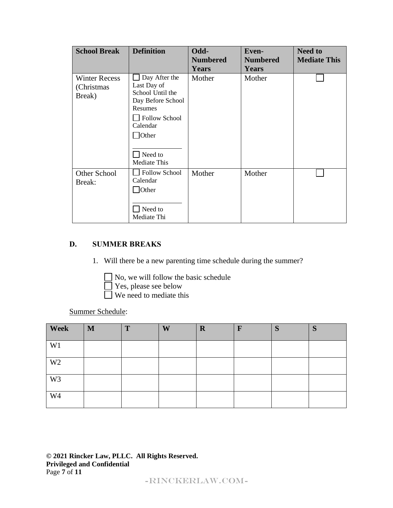| <b>School Break</b>                           | <b>Definition</b>                                                                                                                                               | Odd-<br><b>Numbered</b><br><b>Years</b> | <b>Even-</b><br><b>Numbered</b><br><b>Years</b> | <b>Need to</b><br><b>Mediate This</b> |
|-----------------------------------------------|-----------------------------------------------------------------------------------------------------------------------------------------------------------------|-----------------------------------------|-------------------------------------------------|---------------------------------------|
| <b>Winter Recess</b><br>(Christmas)<br>Break) | Day After the<br>Last Day of<br>School Until the<br>Day Before School<br>Resumes<br>Follow School<br>Calendar<br><b>Other</b><br>Need to<br><b>Mediate This</b> | Mother                                  | Mother                                          |                                       |
| Other School<br>Break:                        | <b>Follow School</b><br>Calendar<br>$\Box$ Other<br>Need to<br>Mediate Thi                                                                                      | Mother                                  | Mother                                          |                                       |

# **D. SUMMER BREAKS**

- 1. Will there be a new parenting time schedule during the summer?
	- No, we will follow the basic schedule
		- Yes, please see below
		- We need to mediate this

Summer Schedule:

| Week           | $\mathbf{M}$ | T | W | $\mathbf R$ | $\mathbf{F}$ | S | S |
|----------------|--------------|---|---|-------------|--------------|---|---|
| W <sub>1</sub> |              |   |   |             |              |   |   |
| W <sub>2</sub> |              |   |   |             |              |   |   |
| W <sub>3</sub> |              |   |   |             |              |   |   |
| W <sub>4</sub> |              |   |   |             |              |   |   |

**© 2021 Rincker Law, PLLC. All Rights Reserved. Privileged and Confidential** Page **7** of **11**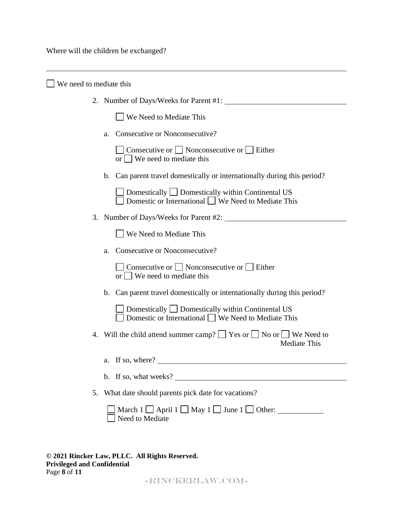Where will the children be exchanged?

| We need to mediate this                                                                                                   |  |
|---------------------------------------------------------------------------------------------------------------------------|--|
| 2. Number of Days/Weeks for Parent #1:                                                                                    |  |
| <b>We Need to Mediate This</b>                                                                                            |  |
| Consecutive or Nonconsecutive?<br>a.                                                                                      |  |
| $\Box$ Consecutive or $\Box$ Nonconsecutive or $\Box$ Either<br>or $\Box$ We need to mediate this                         |  |
| b. Can parent travel domestically or internationally during this period?                                                  |  |
| $\Box$ Domestically $\Box$ Domestically within Continental US<br>Domestic or International $\Box$ We Need to Mediate This |  |
| 3. Number of Days/Weeks for Parent #2:                                                                                    |  |
| We Need to Mediate This                                                                                                   |  |
| Consecutive or Nonconsecutive?<br>a.                                                                                      |  |
| $\Box$ Consecutive or $\Box$ Nonconsecutive or $\Box$ Either<br>or     We need to mediate this                            |  |
| b. Can parent travel domestically or internationally during this period?                                                  |  |
| Domestically $\Box$ Domestically within Continental US<br>Domestic or International $\Box$ We Need to Mediate This        |  |
| 4. Will the child attend summer camp? $\Box$ Yes or $\Box$ No or $\Box$ We Need to<br>Mediate This                        |  |
| a. If so, where?                                                                                                          |  |
| b. If so, what weeks?                                                                                                     |  |
| What date should parents pick date for vacations?<br>5.                                                                   |  |
| March $1 \square$ April $1 \square$ May $1 \square$ June $1 \square$ Other:<br>Need to Mediate                            |  |
|                                                                                                                           |  |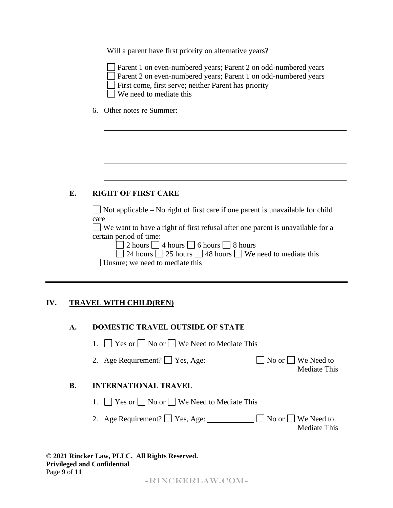Will a parent have first priority on alternative years?

| Par  |
|------|
| Par  |
| Firs |
| ′ച   |

ent 1 on even-numbered years; Parent 2 on odd-numbered years ent 2 on even-numbered years; Parent 1 on odd-numbered years st come, first serve; neither Parent has priority We need to mediate this

6. Other notes re Summer:

# **E. RIGHT OF FIRST CARE**

 $\Box$  Not applicable – No right of first care if one parent is unavailable for child care

We want to have a right of first refusal after one parent is unavailable for a certain period of time:

|  |  | 2 hours $\Box$ 4 hours $\Box$ 6 hours $\Box$ 8 hours |  |  |
|--|--|------------------------------------------------------|--|--|
|--|--|------------------------------------------------------|--|--|

 $\Box$  24 hours  $\Box$  25 hours  $\Box$  48 hours  $\Box$  We need to mediate this

Unsure; we need to mediate this

# **IV. TRAVEL WITH CHILD(REN)**

| A. | <b>DOMESTIC TRAVEL OUTSIDE OF STATE</b> |  |  |
|----|-----------------------------------------|--|--|
|----|-----------------------------------------|--|--|

1.  $\Box$  Yes or  $\Box$  No or  $\Box$  We Need to Mediate This

2. Age Requirement?  $\Box$  Yes, Age:  $\Box$  No or  $\Box$  We Need to

### Mediate This

# **B. INTERNATIONAL TRAVEL**

- 1.  $\Box$  Yes or  $\Box$  No or  $\Box$  We Need to Mediate This
- 2. Age Requirement?  $\Box$  Yes, Age:  $\Box$  No or  $\Box$  We Need to Mediate This

| © 2021 Rincker Law, PLLC. All Rights Reserved. |  |
|------------------------------------------------|--|
| <b>Privileged and Confidential</b>             |  |
| Page $9$ of $11$                               |  |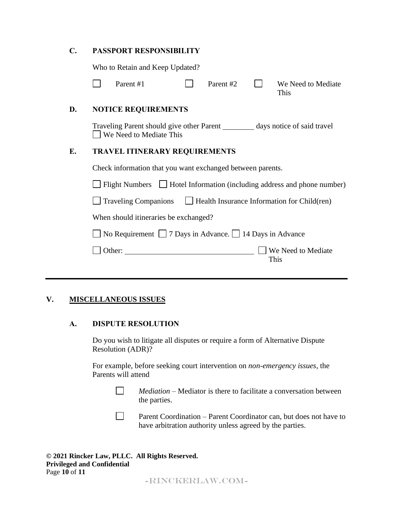### **C. PASSPORT RESPONSIBILITY**

Who to Retain and Keep Updated?

| Parent #1 | Parent #2 | We Need to Mediate |
|-----------|-----------|--------------------|
|           |           | This               |

#### **D. NOTICE REQUIREMENTS**

Traveling Parent should give other Parent \_\_\_\_\_\_\_\_\_\_\_ days notice of said travel □ We Need to Mediate This

### **E. TRAVEL ITINERARY REQUIREMENTS**

Check information that you want exchanged between parents.

 $\Box$  Flight Numbers  $\Box$  Hotel Information (including address and phone number)

 $\Box$  Traveling Companions  $\Box$  Health Insurance Information for Child(ren)

When should itineraries be exchanged?

 $\Box$  No Requirement  $\Box$  7 Days in Advance.  $\Box$  14 Days in Advance

| Other: | <b>We Need to Mediate</b> |
|--------|---------------------------|
|        | This -                    |

### **V. MISCELLANEOUS ISSUES**

#### **A. DISPUTE RESOLUTION**

Do you wish to litigate all disputes or require a form of Alternative Dispute Resolution (ADR)?

For example, before seeking court intervention on *non-emergency issues*, the Parents will attend

> $\mathcal{L}^{\text{max}}$ *Mediation* – Mediator is there to facilitate a conversation between the parties.

Parent Coordination – Parent Coordinator can, but does not have to have arbitration authority unless agreed by the parties.

 $\Box$